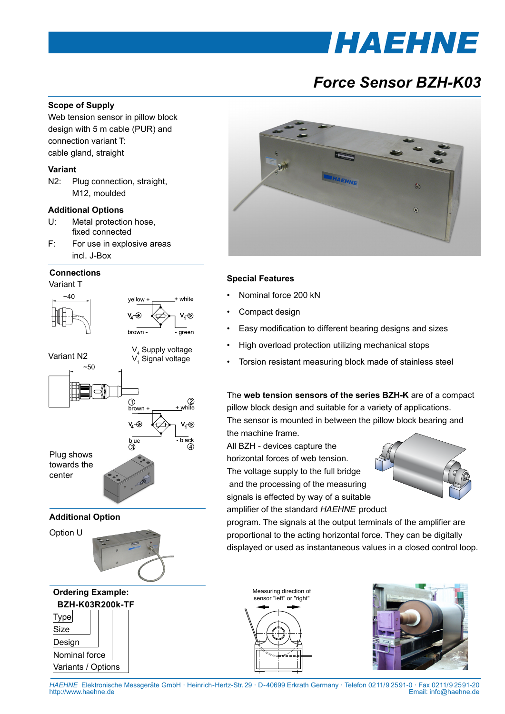# *IHAEHNE*

# *Force Sensor BZH-K03*

### **Scope of Supply**

Web tension sensor in pillow block design with 5 m cable (PUR) and connection variant T: cable gland, straight

#### **Variant**

N2: Plug connection, straight, M12, moulded

#### **Additional Options**

- U: Metal protection hose, fixed connected
- F: For use in explosive areas incl. J-Box

#### **Connections**

Variant T

Size Design

Nominal force Variants / Options





## **Special Features**

- Nominal force 200 kN
- Compact design
- Easy modification to different bearing designs and sizes
- High overload protection utilizing mechanical stops
- Torsion resistant measuring block made of stainless steel

The **web tension sensors of the series BZH-K** are of a compact pillow block design and suitable for a variety of applications. The sensor is mounted in between the pillow block bearing and the machine frame.

All BZH - devices capture the horizontal forces of web tension. The voltage supply to the full bridge and the processing of the measuring signals is effected by way of a suitable amplifier of the standard *HAEHNE* product



program. The signals at the output terminals of the amplifier are proportional to the acting horizontal force. They can be digitally displayed or used as instantaneous values in a closed control loop.

Measuring direction of weasunng unection o<br>sensor "left" or "right"



*HAEHNE* Elektronische Messgeräte GmbH · Heinrich-Hertz-Str. 29 · D-40699 Erkrath Germany · Telefon 0211/9 25 91-0 · Fax 0211/9 25 91-20 Email: info@haehne.de